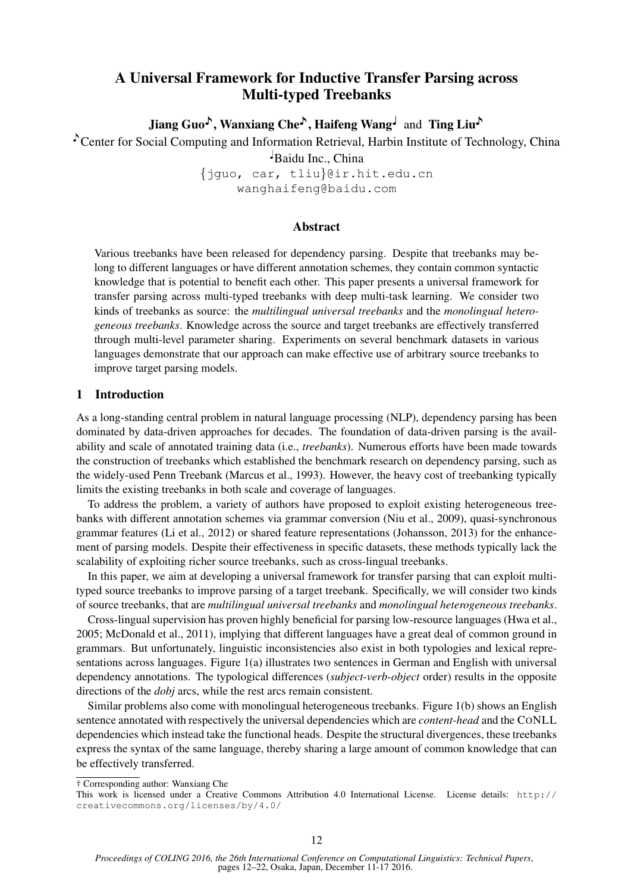# A Universal Framework for Inductive Transfer Parsing across Multi-typed Treebanks

Jiang Guo<sup> $\lambda$ </sup>, Wanxiang Che<sup> $\lambda$ </sup>, Haifeng Wang and Ting Liu $\lambda$ 

Center for Social Computing and Information Retrieval, Harbin Institute of Technology, China

♩Baidu Inc., China

{jguo, car, tliu}@ir.hit.edu.cn wanghaifeng@baidu.com

### Abstract

Various treebanks have been released for dependency parsing. Despite that treebanks may belong to different languages or have different annotation schemes, they contain common syntactic knowledge that is potential to benefit each other. This paper presents a universal framework for transfer parsing across multi-typed treebanks with deep multi-task learning. We consider two kinds of treebanks as source: the *multilingual universal treebanks* and the *monolingual heterogeneous treebanks*. Knowledge across the source and target treebanks are effectively transferred through multi-level parameter sharing. Experiments on several benchmark datasets in various languages demonstrate that our approach can make effective use of arbitrary source treebanks to improve target parsing models.

### 1 Introduction

As a long-standing central problem in natural language processing (NLP), dependency parsing has been dominated by data-driven approaches for decades. The foundation of data-driven parsing is the availability and scale of annotated training data (i.e., *treebanks*). Numerous efforts have been made towards the construction of treebanks which established the benchmark research on dependency parsing, such as the widely-used Penn Treebank (Marcus et al., 1993). However, the heavy cost of treebanking typically limits the existing treebanks in both scale and coverage of languages.

To address the problem, a variety of authors have proposed to exploit existing heterogeneous treebanks with different annotation schemes via grammar conversion (Niu et al., 2009), quasi-synchronous grammar features (Li et al., 2012) or shared feature representations (Johansson, 2013) for the enhancement of parsing models. Despite their effectiveness in specific datasets, these methods typically lack the scalability of exploiting richer source treebanks, such as cross-lingual treebanks.

In this paper, we aim at developing a universal framework for transfer parsing that can exploit multityped source treebanks to improve parsing of a target treebank. Specifically, we will consider two kinds of source treebanks, that are *multilingual universal treebanks* and *monolingual heterogeneous treebanks*.

Cross-lingual supervision has proven highly beneficial for parsing low-resource languages (Hwa et al., 2005; McDonald et al., 2011), implying that different languages have a great deal of common ground in grammars. But unfortunately, linguistic inconsistencies also exist in both typologies and lexical representations across languages. Figure 1(a) illustrates two sentences in German and English with universal dependency annotations. The typological differences (*subject-verb-object* order) results in the opposite directions of the *dobj* arcs, while the rest arcs remain consistent.

Similar problems also come with monolingual heterogeneous treebanks. Figure 1(b) shows an English sentence annotated with respectively the universal dependencies which are *content-head* and the CONLL dependencies which instead take the functional heads. Despite the structural divergences, these treebanks express the syntax of the same language, thereby sharing a large amount of common knowledge that can be effectively transferred.

† Corresponding author: Wanxiang Che

This work is licensed under a Creative Commons Attribution 4.0 International License. License details: http:// creativecommons.org/licenses/by/4.0/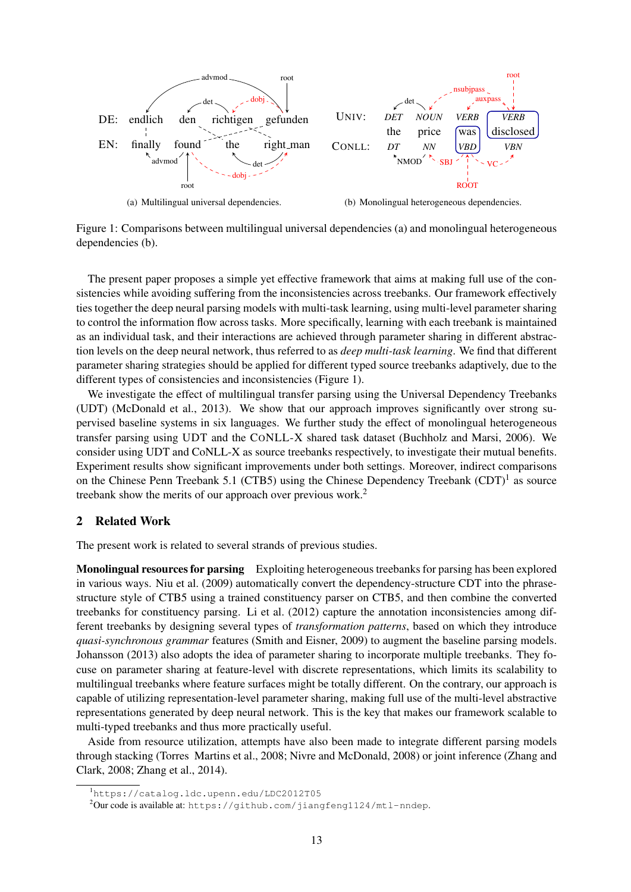

Figure 1: Comparisons between multilingual universal dependencies (a) and monolingual heterogeneous dependencies (b).

The present paper proposes a simple yet effective framework that aims at making full use of the consistencies while avoiding suffering from the inconsistencies across treebanks. Our framework effectively ties together the deep neural parsing models with multi-task learning, using multi-level parameter sharing to control the information flow across tasks. More specifically, learning with each treebank is maintained as an individual task, and their interactions are achieved through parameter sharing in different abstraction levels on the deep neural network, thus referred to as *deep multi-task learning*. We find that different parameter sharing strategies should be applied for different typed source treebanks adaptively, due to the different types of consistencies and inconsistencies (Figure 1).

We investigate the effect of multilingual transfer parsing using the Universal Dependency Treebanks (UDT) (McDonald et al., 2013). We show that our approach improves significantly over strong supervised baseline systems in six languages. We further study the effect of monolingual heterogeneous transfer parsing using UDT and the CONLL-X shared task dataset (Buchholz and Marsi, 2006). We consider using UDT and CoNLL-X as source treebanks respectively, to investigate their mutual benefits. Experiment results show significant improvements under both settings. Moreover, indirect comparisons on the Chinese Penn Treebank 5.1 (CTB5) using the Chinese Dependency Treebank  $(CDT)^{1}$  as source treebank show the merits of our approach over previous work.<sup>2</sup>

# 2 Related Work

The present work is related to several strands of previous studies.

Monolingual resources for parsing Exploiting heterogeneous treebanks for parsing has been explored in various ways. Niu et al. (2009) automatically convert the dependency-structure CDT into the phrasestructure style of CTB5 using a trained constituency parser on CTB5, and then combine the converted treebanks for constituency parsing. Li et al. (2012) capture the annotation inconsistencies among different treebanks by designing several types of *transformation patterns*, based on which they introduce *quasi-synchronous grammar* features (Smith and Eisner, 2009) to augment the baseline parsing models. Johansson (2013) also adopts the idea of parameter sharing to incorporate multiple treebanks. They focuse on parameter sharing at feature-level with discrete representations, which limits its scalability to multilingual treebanks where feature surfaces might be totally different. On the contrary, our approach is capable of utilizing representation-level parameter sharing, making full use of the multi-level abstractive representations generated by deep neural network. This is the key that makes our framework scalable to multi-typed treebanks and thus more practically useful.

Aside from resource utilization, attempts have also been made to integrate different parsing models through stacking (Torres Martins et al., 2008; Nivre and McDonald, 2008) or joint inference (Zhang and Clark, 2008; Zhang et al., 2014).

<sup>1</sup>https://catalog.ldc.upenn.edu/LDC2012T05

<sup>&</sup>lt;sup>2</sup>Our code is available at: https://github.com/jiangfeng1124/mtl-nndep.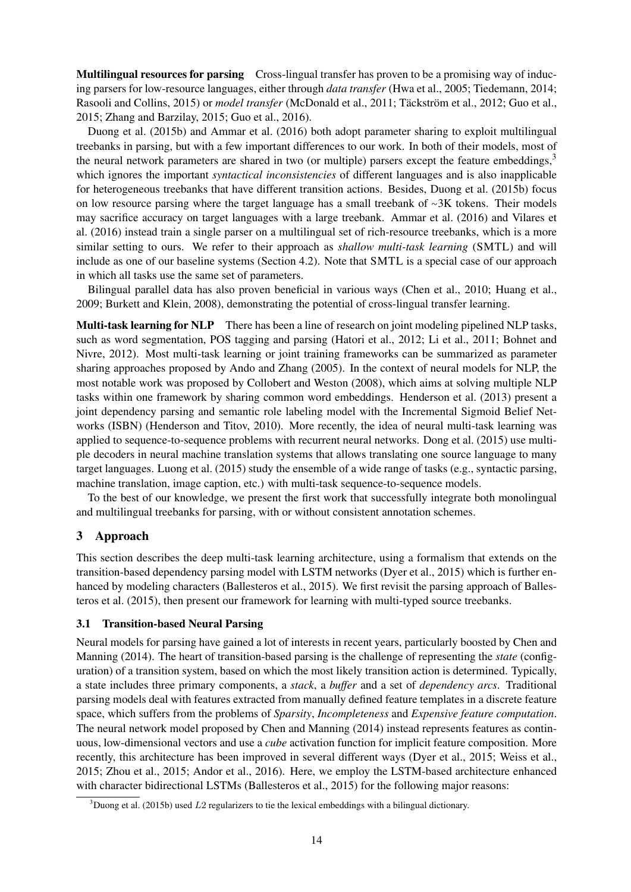Multilingual resources for parsing Cross-lingual transfer has proven to be a promising way of inducing parsers for low-resource languages, either through *data transfer* (Hwa et al., 2005; Tiedemann, 2014; Rasooli and Collins, 2015) or *model transfer* (McDonald et al., 2011; Täckström et al., 2012; Guo et al., 2015; Zhang and Barzilay, 2015; Guo et al., 2016).

Duong et al. (2015b) and Ammar et al. (2016) both adopt parameter sharing to exploit multilingual treebanks in parsing, but with a few important differences to our work. In both of their models, most of the neural network parameters are shared in two (or multiple) parsers except the feature embeddings, $3$ which ignores the important *syntactical inconsistencies* of different languages and is also inapplicable for heterogeneous treebanks that have different transition actions. Besides, Duong et al. (2015b) focus on low resource parsing where the target language has a small treebank of <sup>∼</sup>3K tokens. Their models may sacrifice accuracy on target languages with a large treebank. Ammar et al. (2016) and Vilares et al. (2016) instead train a single parser on a multilingual set of rich-resource treebanks, which is a more similar setting to ours. We refer to their approach as *shallow multi-task learning* (SMTL) and will include as one of our baseline systems (Section 4.2). Note that SMTL is a special case of our approach in which all tasks use the same set of parameters.

Bilingual parallel data has also proven beneficial in various ways (Chen et al., 2010; Huang et al., 2009; Burkett and Klein, 2008), demonstrating the potential of cross-lingual transfer learning.

Multi-task learning for NLP There has been a line of research on joint modeling pipelined NLP tasks, such as word segmentation, POS tagging and parsing (Hatori et al., 2012; Li et al., 2011; Bohnet and Nivre, 2012). Most multi-task learning or joint training frameworks can be summarized as parameter sharing approaches proposed by Ando and Zhang (2005). In the context of neural models for NLP, the most notable work was proposed by Collobert and Weston (2008), which aims at solving multiple NLP tasks within one framework by sharing common word embeddings. Henderson et al. (2013) present a joint dependency parsing and semantic role labeling model with the Incremental Sigmoid Belief Networks (ISBN) (Henderson and Titov, 2010). More recently, the idea of neural multi-task learning was applied to sequence-to-sequence problems with recurrent neural networks. Dong et al. (2015) use multiple decoders in neural machine translation systems that allows translating one source language to many target languages. Luong et al. (2015) study the ensemble of a wide range of tasks (e.g., syntactic parsing, machine translation, image caption, etc.) with multi-task sequence-to-sequence models.

To the best of our knowledge, we present the first work that successfully integrate both monolingual and multilingual treebanks for parsing, with or without consistent annotation schemes.

### 3 Approach

This section describes the deep multi-task learning architecture, using a formalism that extends on the transition-based dependency parsing model with LSTM networks (Dyer et al., 2015) which is further enhanced by modeling characters (Ballesteros et al., 2015). We first revisit the parsing approach of Ballesteros et al. (2015), then present our framework for learning with multi-typed source treebanks.

### 3.1 Transition-based Neural Parsing

Neural models for parsing have gained a lot of interests in recent years, particularly boosted by Chen and Manning (2014). The heart of transition-based parsing is the challenge of representing the *state* (configuration) of a transition system, based on which the most likely transition action is determined. Typically, a state includes three primary components, a *stack*, a *buffer* and a set of *dependency arcs*. Traditional parsing models deal with features extracted from manually defined feature templates in a discrete feature space, which suffers from the problems of *Sparsity*, *Incompleteness* and *Expensive feature computation*. The neural network model proposed by Chen and Manning (2014) instead represents features as continuous, low-dimensional vectors and use a *cube* activation function for implicit feature composition. More recently, this architecture has been improved in several different ways (Dyer et al., 2015; Weiss et al., 2015; Zhou et al., 2015; Andor et al., 2016). Here, we employ the LSTM-based architecture enhanced with character bidirectional LSTMs (Ballesteros et al., 2015) for the following major reasons:

 $3$ Duong et al. (2015b) used L2 regularizers to tie the lexical embeddings with a bilingual dictionary.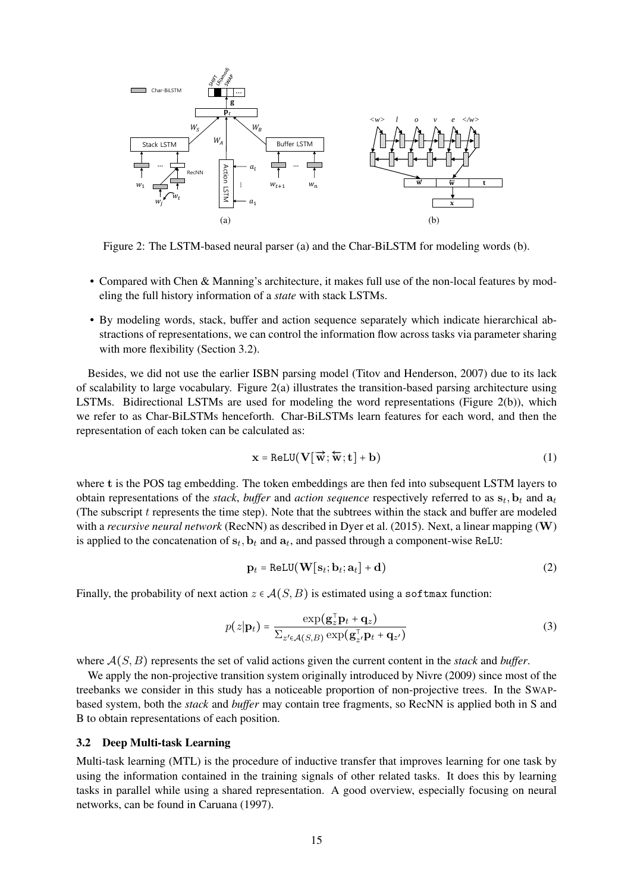

Figure 2: The LSTM-based neural parser (a) and the Char-BiLSTM for modeling words (b).

- Compared with Chen & Manning's architecture, it makes full use of the non-local features by modeling the full history information of a *state* with stack LSTMs.
- By modeling words, stack, buffer and action sequence separately which indicate hierarchical abstractions of representations, we can control the information flow across tasks via parameter sharing with more flexibility (Section 3.2).

Besides, we did not use the earlier ISBN parsing model (Titov and Henderson, 2007) due to its lack of scalability to large vocabulary. Figure 2(a) illustrates the transition-based parsing architecture using LSTMs. Bidirectional LSTMs are used for modeling the word representations (Figure 2(b)), which we refer to as Char-BiLSTMs henceforth. Char-BiLSTMs learn features for each word, and then the representation of each token can be calculated as:

$$
\mathbf{x} = \text{ReLU}(\mathbf{V}[\overrightarrow{\mathbf{w}}; \overleftarrow{\mathbf{w}}; \mathbf{t}] + \mathbf{b})
$$
(1)

where t is the POS tag embedding. The token embeddings are then fed into subsequent LSTM layers to obtain representations of the *stack*, *buffer* and *action sequence* respectively referred to as  $s_t$ ,  $b_t$  and  $a_t$ (The subscript  $t$  represents the time step). Note that the subtrees within the stack and buffer are modeled with a *recursive neural network* (RecNN) as described in Dyer et al. (2015). Next, a linear mapping (W) is applied to the concatenation of  $s_t$ ,  $b_t$  and  $a_t$ , and passed through a component-wise ReLU:

$$
\mathbf{p}_t = \text{ReLU}(\mathbf{W}[\mathbf{s}_t; \mathbf{b}_t; \mathbf{a}_t] + \mathbf{d})
$$
 (2)

Finally, the probability of next action  $z \in \mathcal{A}(S, B)$  is estimated using a softmax function:

$$
p(z|\mathbf{p}_t) = \frac{\exp(\mathbf{g}_z^{\top}\mathbf{p}_t + \mathbf{q}_z)}{\sum_{z' \in \mathcal{A}(S,B)} \exp(\mathbf{g}_{z'}^{\top}\mathbf{p}_t + \mathbf{q}_{z'})}
$$
(3)

where A(S, B) represents the set of valid actions given the current content in the *stack* and *buffer*.

We apply the non-projective transition system originally introduced by Nivre (2009) since most of the treebanks we consider in this study has a noticeable proportion of non-projective trees. In the SWAPbased system, both the *stack* and *buffer* may contain tree fragments, so RecNN is applied both in S and B to obtain representations of each position.

#### 3.2 Deep Multi-task Learning

Multi-task learning (MTL) is the procedure of inductive transfer that improves learning for one task by using the information contained in the training signals of other related tasks. It does this by learning tasks in parallel while using a shared representation. A good overview, especially focusing on neural networks, can be found in Caruana (1997).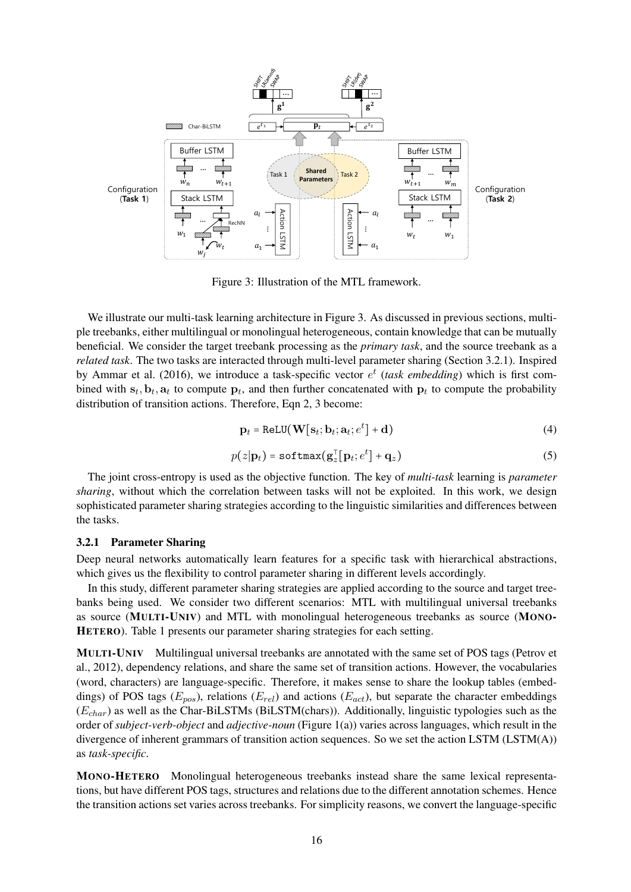

Figure 3: Illustration of the MTL framework.

We illustrate our multi-task learning architecture in Figure 3. As discussed in previous sections, multiple treebanks, either multilingual or monolingual heterogeneous, contain knowledge that can be mutually beneficial. We consider the target treebank processing as the *primary task*, and the source treebank as a *related task*. The two tasks are interacted through multi-level parameter sharing (Section 3.2.1). Inspired by Ammar et al. (2016), we introduce a task-specific vector  $e^t$  (task embedding) which is first combined with  $s_t$ ,  $b_t$ ,  $a_t$  to compute  $p_t$ , and then further concatenated with  $p_t$  to compute the probability distribution of transition actions. Therefore, Eqn 2, 3 become:

$$
\mathbf{p}_t = \text{ReLU}(\mathbf{W}[\mathbf{s}_t; \mathbf{b}_t; \mathbf{a}_t; e^t] + \mathbf{d})
$$
(4)

$$
p(z|\mathbf{p}_t) = \text{softmax}(\mathbf{g}_z^{\top}[\mathbf{p}_t; e^t] + \mathbf{q}_z)
$$
\n(5)

The joint cross-entropy is used as the objective function. The key of *multi-task* learning is *parameter sharing*, without which the correlation between tasks will not be exploited. In this work, we design sophisticated parameter sharing strategies according to the linguistic similarities and differences between the tasks.

### 3.2.1 Parameter Sharing

Deep neural networks automatically learn features for a specific task with hierarchical abstractions, which gives us the flexibility to control parameter sharing in different levels accordingly.

In this study, different parameter sharing strategies are applied according to the source and target treebanks being used. We consider two different scenarios: MTL with multilingual universal treebanks as source (MULTI-UNIV) and MTL with monolingual heterogeneous treebanks as source (MONO-HETERO). Table 1 presents our parameter sharing strategies for each setting.

MULTI-UNIV Multilingual universal treebanks are annotated with the same set of POS tags (Petrov et al., 2012), dependency relations, and share the same set of transition actions. However, the vocabularies (word, characters) are language-specific. Therefore, it makes sense to share the lookup tables (embeddings) of POS tags ( $E_{pos}$ ), relations ( $E_{rel}$ ) and actions ( $E_{act}$ ), but separate the character embeddings  $(E<sub>char</sub>)$  as well as the Char-BiLSTMs (BiLSTM(chars)). Additionally, linguistic typologies such as the order of *subject-verb-object* and *adjective-noun* (Figure 1(a)) varies across languages, which result in the divergence of inherent grammars of transition action sequences. So we set the action LSTM  $(LSTM(A))$ as *task-specific*.

MONO-HETERO Monolingual heterogeneous treebanks instead share the same lexical representations, but have different POS tags, structures and relations due to the different annotation schemes. Hence the transition actions set varies across treebanks. For simplicity reasons, we convert the language-specific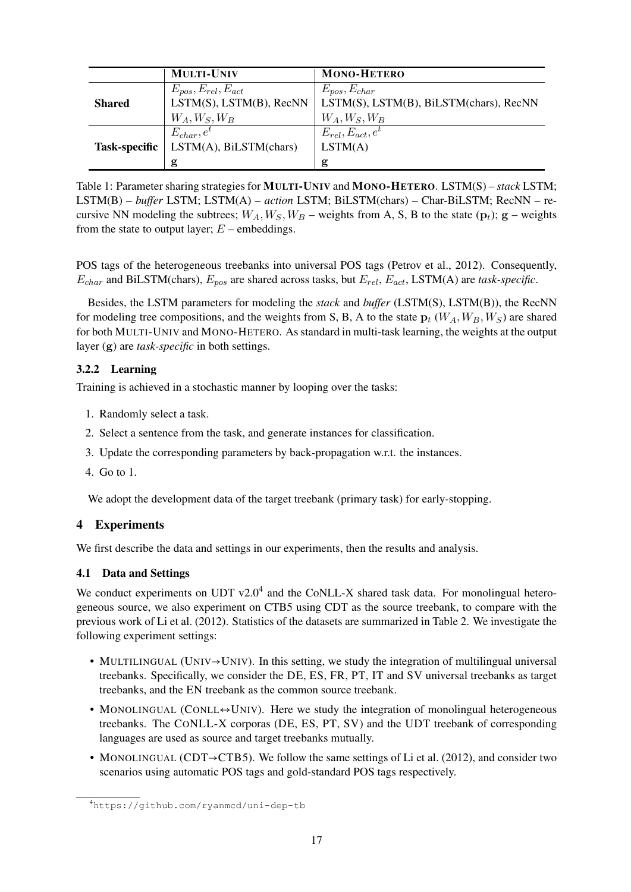|                      | <b>MULTI-UNIV</b>               | <b>MONO-HETERO</b>                     |
|----------------------|---------------------------------|----------------------------------------|
|                      | $E_{pos}, E_{rel}, E_{act}$     | $E_{pos}, E_{char}$                    |
| <b>Shared</b>        | $LSTM(S)$ , $LSTM(B)$ , $RecNN$ | LSTM(S), LSTM(B), BiLSTM(chars), RecNN |
|                      | $W_A, W_S, W_B$                 | $W_A, W_S, W_B$                        |
|                      | $E_{char}, e^{i}$               | $E_{rel}, E_{act}, e^t$                |
| <b>Task-specific</b> | LSTM(A), BiLSTM(char)           | LSTM(A)                                |
|                      | g                               | g                                      |

Table 1: Parameter sharing strategies for MULTI-UNIV and MONO-HETERO. LSTM(S) – *stack* LSTM; LSTM(B) – *buffer* LSTM; LSTM(A) – *action* LSTM; BiLSTM(chars) – Char-BiLSTM; RecNN – recursive NN modeling the subtrees;  $W_A, W_S, W_B$  – weights from A, S, B to the state ( $p_t$ ); g – weights from the state to output layer;  $E$  – embeddings.

POS tags of the heterogeneous treebanks into universal POS tags (Petrov et al., 2012). Consequently,  $E_{char}$  and BiLSTM(chars),  $E_{pos}$  are shared across tasks, but  $E_{rel}$ ,  $E_{act}$ , LSTM(A) are *task-specific*.

Besides, the LSTM parameters for modeling the *stack* and *buffer* (LSTM(S), LSTM(B)), the RecNN for modeling tree compositions, and the weights from S, B, A to the state  $p_t$  ( $W_A, W_B, W_S$ ) are shared for both MULTI-UNIV and MONO-HETERO. As standard in multi-task learning, the weights at the output layer (g) are *task-specific* in both settings.

## 3.2.2 Learning

Training is achieved in a stochastic manner by looping over the tasks:

- 1. Randomly select a task.
- 2. Select a sentence from the task, and generate instances for classification.
- 3. Update the corresponding parameters by back-propagation w.r.t. the instances.
- 4. Go to 1.

We adopt the development data of the target treebank (primary task) for early-stopping.

# 4 Experiments

We first describe the data and settings in our experiments, then the results and analysis.

# 4.1 Data and Settings

We conduct experiments on UDT  $v2.0<sup>4</sup>$  and the CoNLL-X shared task data. For monolingual heterogeneous source, we also experiment on CTB5 using CDT as the source treebank, to compare with the previous work of Li et al. (2012). Statistics of the datasets are summarized in Table 2. We investigate the following experiment settings:

- <sup>M</sup>ULTILINGUAL (UNIV→UNIV). In this setting, we study the integration of multilingual universal treebanks. Specifically, we consider the DE, ES, FR, PT, IT and SV universal treebanks as target treebanks, and the EN treebank as the common source treebank.
- MONOLINGUAL (CONLL $\leftrightarrow$ UNIV). Here we study the integration of monolingual heterogeneous treebanks. The CONLL-X corporas (DE, ES, PT, SV) and the UDT treebank of corresponding languages are used as source and target treebanks mutually.
- <sup>M</sup>ONOLINGUAL (CDT→CTB5). We follow the same settings of Li et al. (2012), and consider two scenarios using automatic POS tags and gold-standard POS tags respectively.

<sup>4</sup>https://github.com/ryanmcd/uni-dep-tb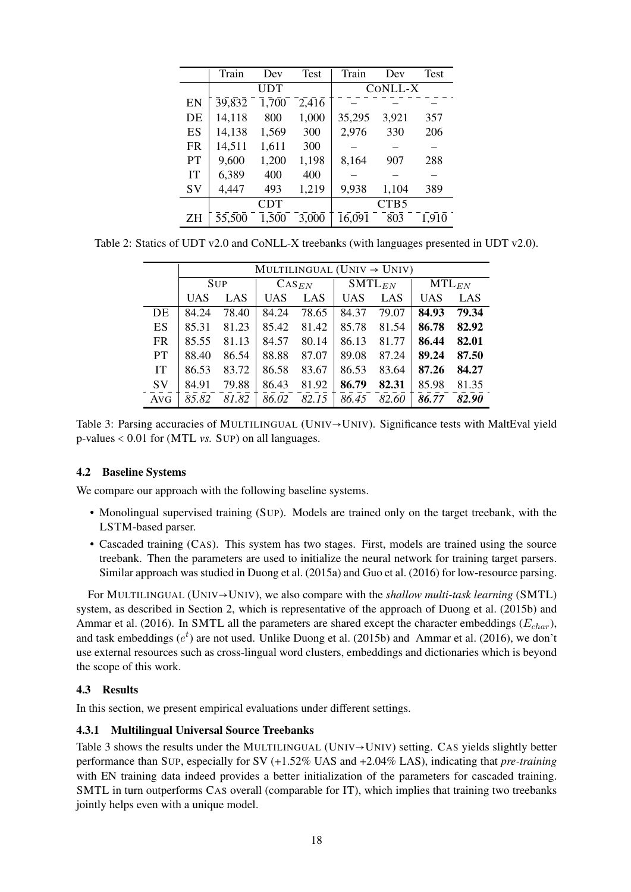|           | Train  | Dev   | Test  | Train  | Dev              | Test  |  |  |
|-----------|--------|-------|-------|--------|------------------|-------|--|--|
|           |        | UDT   |       |        | CONLL-X          |       |  |  |
| EN        | 39,832 | 1,700 | 2,416 |        |                  |       |  |  |
| DE        | 14,118 | 800   | 1,000 | 35,295 | 3,921            | 357   |  |  |
| ES        | 14,138 | 1,569 | 300   | 2,976  | 330              | 206   |  |  |
| <b>FR</b> | 14,511 | 1,611 | 300   |        |                  |       |  |  |
| <b>PT</b> | 9,600  | 1,200 | 1,198 | 8,164  | 907              | 288   |  |  |
| IT        | 6,389  | 400   | 400   |        |                  |       |  |  |
| SV        | 4,447  | 493   | 1,219 | 9,938  | 1,104            | 389   |  |  |
|           |        | CDT   |       |        | CTB <sub>5</sub> |       |  |  |
| ΖH        | 55,500 | 1,500 | 3,000 | 16,091 | 803              | 1,910 |  |  |

Table 2: Statics of UDT v2.0 and CoNLL-X treebanks (with languages presented in UDT v2.0).

|           | MULTILINGUAL (UNIV $\rightarrow$ UNIV) |       |                     |            |            |             |            |       |  |  |
|-----------|----------------------------------------|-------|---------------------|------------|------------|-------------|------------|-------|--|--|
|           | <b>SUP</b>                             |       | $\mathrm{CAS}_{EN}$ |            |            | $SMTL_{EN}$ | $MTL_{EN}$ |       |  |  |
|           | <b>UAS</b>                             | LAS   | <b>UAS</b>          | <b>LAS</b> | <b>UAS</b> | LAS         | <b>UAS</b> | LAS   |  |  |
| DE        | 84.24                                  | 78.40 | 84.24               | 78.65      | 84.37      | 79.07       | 84.93      | 79.34 |  |  |
| <b>ES</b> | 85.31                                  | 81.23 | 85.42               | 81.42      | 85.78      | 81.54       | 86.78      | 82.92 |  |  |
| <b>FR</b> | 85.55                                  | 81.13 | 84.57               | 80.14      | 86.13      | 81.77       | 86.44      | 82.01 |  |  |
| <b>PT</b> | 88.40                                  | 86.54 | 88.88               | 87.07      | 89.08      | 87.24       | 89.24      | 87.50 |  |  |
| IT        | 86.53                                  | 83.72 | 86.58               | 83.67      | 86.53      | 83.64       | 87.26      | 84.27 |  |  |
| <b>SV</b> | 84.91                                  | 79.88 | 86.43               | 81.92      | 86.79      | 82.31       | 85.98      | 81.35 |  |  |
| AVG       | 85.82                                  | 81.82 | 86.02               | 82.15      | 86.45      | 82.60       | 86.77      | 82.90 |  |  |

Table 3: Parsing accuracies of MULTILINGUAL (UNIV→UNIV). Significance tests with MaltEval yield p-values <sup>&</sup>lt; 0.01 for (MTL *vs.* <sup>S</sup>UP) on all languages.

### 4.2 Baseline Systems

We compare our approach with the following baseline systems.

- Monolingual supervised training (SUP). Models are trained only on the target treebank, with the LSTM-based parser.
- Cascaded training (CAS). This system has two stages. First, models are trained using the source treebank. Then the parameters are used to initialize the neural network for training target parsers. Similar approach was studied in Duong et al. (2015a) and Guo et al. (2016) for low-resource parsing.

For MULTILINGUAL (UNIV→UNIV), we also compare with the *shallow multi-task learning* (SMTL) system, as described in Section 2, which is representative of the approach of Duong et al. (2015b) and Ammar et al. (2016). In SMTL all the parameters are shared except the character embeddings ( $E_{char}$ ), and task embeddings  $(e^t)$  are not used. Unlike Duong et al. (2015b) and Ammar et al. (2016), we don't use external resources such as cross-lingual word clusters, embeddings and dictionaries which is beyond the scope of this work.

### 4.3 Results

In this section, we present empirical evaluations under different settings.

### 4.3.1 Multilingual Universal Source Treebanks

Table 3 shows the results under the MULTILINGUAL (UNIV→UNIV) setting. CAS yields slightly better performance than SUP, especially for SV (+1.52% UAS and +2.04% LAS), indicating that *pre-training* with EN training data indeed provides a better initialization of the parameters for cascaded training. SMTL in turn outperforms CAS overall (comparable for IT), which implies that training two treebanks jointly helps even with a unique model.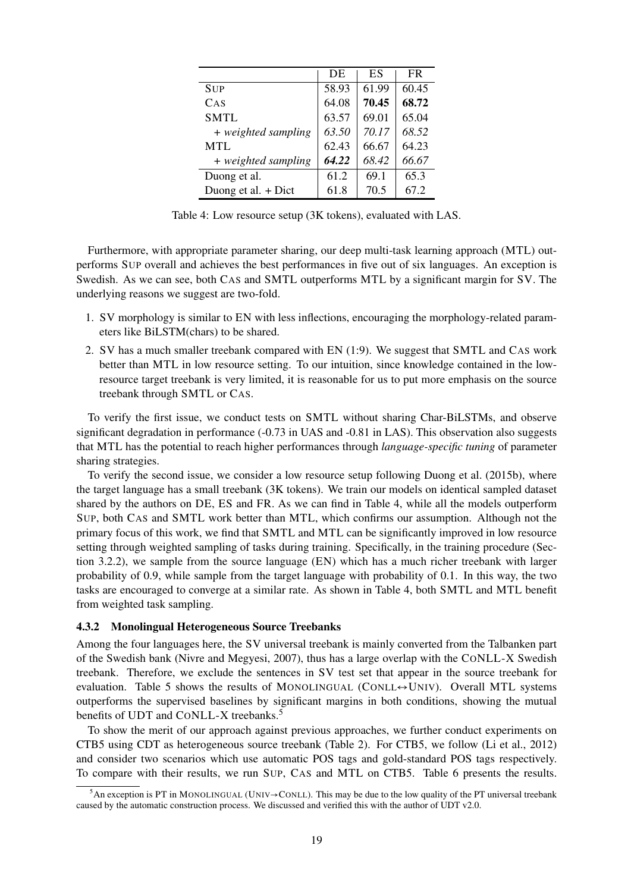|                       | DE    | ES    | <b>FR</b> |
|-----------------------|-------|-------|-----------|
| <b>SUP</b>            | 58.93 | 61.99 | 60.45     |
| CAS                   | 64.08 | 70.45 | 68.72     |
| <b>SMTL</b>           | 63.57 | 69.01 | 65.04     |
| + weighted sampling   | 63.50 | 70.17 | 68.52     |
| <b>MTL</b>            | 62.43 | 66.67 | 64.23     |
| + weighted sampling   | 64.22 | 68.42 | 66.67     |
| Duong et al.          | 61.2  | 69.1  | 65.3      |
| Duong et al. $+$ Dict | 61.8  | 70.5  | 67.2      |

Table 4: Low resource setup (3K tokens), evaluated with LAS.

Furthermore, with appropriate parameter sharing, our deep multi-task learning approach (MTL) outperforms SUP overall and achieves the best performances in five out of six languages. An exception is Swedish. As we can see, both CAS and SMTL outperforms MTL by a significant margin for SV. The underlying reasons we suggest are two-fold.

- 1. SV morphology is similar to EN with less inflections, encouraging the morphology-related parameters like BiLSTM(chars) to be shared.
- 2. SV has a much smaller treebank compared with EN (1:9). We suggest that SMTL and CAS work better than MTL in low resource setting. To our intuition, since knowledge contained in the lowresource target treebank is very limited, it is reasonable for us to put more emphasis on the source treebank through SMTL or CAS.

To verify the first issue, we conduct tests on SMTL without sharing Char-BiLSTMs, and observe significant degradation in performance (-0.73 in UAS and -0.81 in LAS). This observation also suggests that MTL has the potential to reach higher performances through *language-specific tuning* of parameter sharing strategies.

To verify the second issue, we consider a low resource setup following Duong et al. (2015b), where the target language has a small treebank (3K tokens). We train our models on identical sampled dataset shared by the authors on DE, ES and FR. As we can find in Table 4, while all the models outperform SUP, both CAS and SMTL work better than MTL, which confirms our assumption. Although not the primary focus of this work, we find that SMTL and MTL can be significantly improved in low resource setting through weighted sampling of tasks during training. Specifically, in the training procedure (Section 3.2.2), we sample from the source language (EN) which has a much richer treebank with larger probability of 0.9, while sample from the target language with probability of 0.1. In this way, the two tasks are encouraged to converge at a similar rate. As shown in Table 4, both SMTL and MTL benefit from weighted task sampling.

### 4.3.2 Monolingual Heterogeneous Source Treebanks

Among the four languages here, the SV universal treebank is mainly converted from the Talbanken part of the Swedish bank (Nivre and Megyesi, 2007), thus has a large overlap with the CONLL-X Swedish treebank. Therefore, we exclude the sentences in SV test set that appear in the source treebank for evaluation. Table 5 shows the results of MONOLINGUAL (CONLL↔UNIV). Overall MTL systems outperforms the supervised baselines by significant margins in both conditions, showing the mutual benefits of UDT and CONLL-X treebanks.<sup>5</sup>

To show the merit of our approach against previous approaches, we further conduct experiments on CTB5 using CDT as heterogeneous source treebank (Table 2). For CTB5, we follow (Li et al., 2012) and consider two scenarios which use automatic POS tags and gold-standard POS tags respectively. To compare with their results, we run SUP, CAS and MTL on CTB5. Table 6 presents the results.

 $<sup>5</sup>$ An exception is PT in MONOLINGUAL (UNIV→CONLL). This may be due to the low quality of the PT universal treebank</sup> caused by the automatic construction process. We discussed and verified this with the author of UDT v2.0.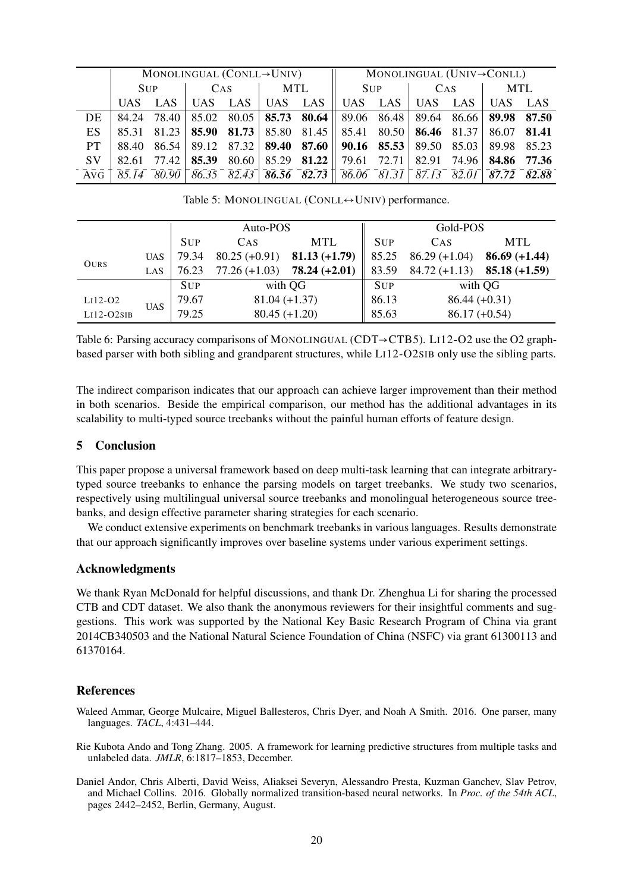|      | MONOLINGUAL (CONLL $\rightarrow$ UNIV) |  |        |     |  |  | MONOLINGUAL (UNIV $\rightarrow$ CONLL)                                                                                                                                                                                                                 |                 |  |  |  |  |
|------|----------------------------------------|--|--------|-----|--|--|--------------------------------------------------------------------------------------------------------------------------------------------------------------------------------------------------------------------------------------------------------|-----------------|--|--|--|--|
|      | <b>SUP</b>                             |  | $\cos$ | MTL |  |  |                                                                                                                                                                                                                                                        | SUP   CAS   MTL |  |  |  |  |
|      |                                        |  |        |     |  |  | UAS LAS   UAS LAS   UAS LAS   UAS LAS   UAS LAS   UAS LAS LAS   UAS LAS   UAS LAS   UAS LAS   UAS LAS   UAS LAS   UAS LAS   UAS LAS   UAS LAS   UAS LAS   UAS LAS   UAS LAS   UAS LAS   UAS LAS   UAS LAS   UAS LAS   UAS LAS                          |                 |  |  |  |  |
| DE.  |                                        |  |        |     |  |  | $84.24$ 78.40 $ 85.02$ $80.05$ <b>85.73 <math>80.64</math></b> $ 89.06$ $86.48$ $ 89.64$ $86.66$ <b>89.98 87.50</b>                                                                                                                                    |                 |  |  |  |  |
| ES.  |                                        |  |        |     |  |  | 85.31 81.23 85.90 81.73 85.80 81.45 85.41 80.50 86.46 81.37 86.07 81.41                                                                                                                                                                                |                 |  |  |  |  |
| PT.  |                                        |  |        |     |  |  | 88.40 86.54 89.12 87.32 <b>89.40 87.60 09.16 85.53</b> 89.50 85.03 89.98 85.23                                                                                                                                                                         |                 |  |  |  |  |
| SV - |                                        |  |        |     |  |  | 82.61 77.42   <b>85.39</b> 80.60   85.29 <b>81.22</b>   79.61 72.71   82.91 74.96   <b>84.86 77.36</b>                                                                                                                                                 |                 |  |  |  |  |
|      |                                        |  |        |     |  |  | $\overline{A}$ vG $\overline{)85.14}$ $\overline{80.90}$ $\overline{86.35}$ $\overline{82.43}$ $\overline{86.56}$ $\overline{82.73}$ $\overline{86.06}$ $\overline{81.31}$ $\overline{87.13}$ $\overline{82.01}$ $\overline{87.72}$ $\overline{82.88}$ |                 |  |  |  |  |

Table 5: MONOLINGUAL (CONLL↔UNIV) performance.

|             |            |            | Auto-POS                           |                 | Gold-POS   |                                 |                 |  |
|-------------|------------|------------|------------------------------------|-----------------|------------|---------------------------------|-----------------|--|
|             |            | <b>SUP</b> | <b>MTL</b><br><b>CAS</b>           |                 |            | CAS                             | <b>MTL</b>      |  |
| <b>OURS</b> | <b>UAS</b> | 79.34      | $80.25 (+0.91)$                    | $81.13 (+1.79)$ | 85.25      | $86.29 (+1.04)$                 | $86.69 (+1.44)$ |  |
|             | LAS        | 76.23      | $77.26 (+1.03)$                    | $78.24 (+2.01)$ | 83.59      | $84.72 (+1.13)$ $85.18 (+1.59)$ |                 |  |
|             |            | <b>SUP</b> |                                    | with QG         | <b>SUP</b> | with QG                         |                 |  |
| $Li12-O2$   | <b>UAS</b> | 79.67      | $81.04 (+1.37)$<br>$80.45 (+1.20)$ |                 | 86.13      | $86.44 (+0.31)$                 |                 |  |
| $Li12-O2SB$ |            | 79.25      |                                    |                 | 85.63      | $86.17 (+0.54)$                 |                 |  |

Table 6: Parsing accuracy comparisons of MONOLINGUAL (CDT→CTB5). LI12-O2 use the O2 graphbased parser with both sibling and grandparent structures, while LI12-O2SIB only use the sibling parts.

The indirect comparison indicates that our approach can achieve larger improvement than their method in both scenarios. Beside the empirical comparison, our method has the additional advantages in its scalability to multi-typed source treebanks without the painful human efforts of feature design.

### 5 Conclusion

This paper propose a universal framework based on deep multi-task learning that can integrate arbitrarytyped source treebanks to enhance the parsing models on target treebanks. We study two scenarios, respectively using multilingual universal source treebanks and monolingual heterogeneous source treebanks, and design effective parameter sharing strategies for each scenario.

We conduct extensive experiments on benchmark treebanks in various languages. Results demonstrate that our approach significantly improves over baseline systems under various experiment settings.

### Acknowledgments

We thank Ryan McDonald for helpful discussions, and thank Dr. Zhenghua Li for sharing the processed CTB and CDT dataset. We also thank the anonymous reviewers for their insightful comments and suggestions. This work was supported by the National Key Basic Research Program of China via grant 2014CB340503 and the National Natural Science Foundation of China (NSFC) via grant 61300113 and 61370164.

### References

- Waleed Ammar, George Mulcaire, Miguel Ballesteros, Chris Dyer, and Noah A Smith. 2016. One parser, many languages. *TACL*, 4:431–444.
- Rie Kubota Ando and Tong Zhang. 2005. A framework for learning predictive structures from multiple tasks and unlabeled data. *JMLR*, 6:1817–1853, December.
- Daniel Andor, Chris Alberti, David Weiss, Aliaksei Severyn, Alessandro Presta, Kuzman Ganchev, Slav Petrov, and Michael Collins. 2016. Globally normalized transition-based neural networks. In *Proc. of the 54th ACL*, pages 2442–2452, Berlin, Germany, August.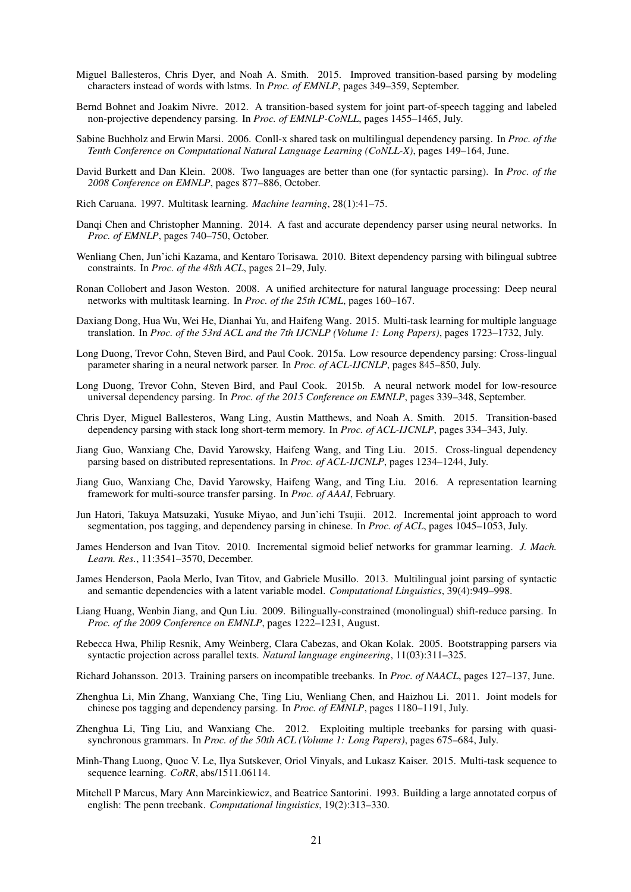- Miguel Ballesteros, Chris Dyer, and Noah A. Smith. 2015. Improved transition-based parsing by modeling characters instead of words with lstms. In *Proc. of EMNLP*, pages 349–359, September.
- Bernd Bohnet and Joakim Nivre. 2012. A transition-based system for joint part-of-speech tagging and labeled non-projective dependency parsing. In *Proc. of EMNLP-CoNLL*, pages 1455–1465, July.
- Sabine Buchholz and Erwin Marsi. 2006. Conll-x shared task on multilingual dependency parsing. In *Proc. of the Tenth Conference on Computational Natural Language Learning (CoNLL-X)*, pages 149–164, June.
- David Burkett and Dan Klein. 2008. Two languages are better than one (for syntactic parsing). In *Proc. of the 2008 Conference on EMNLP*, pages 877–886, October.
- Rich Caruana. 1997. Multitask learning. *Machine learning*, 28(1):41–75.
- Danqi Chen and Christopher Manning. 2014. A fast and accurate dependency parser using neural networks. In *Proc. of EMNLP*, pages 740–750, October.
- Wenliang Chen, Jun'ichi Kazama, and Kentaro Torisawa. 2010. Bitext dependency parsing with bilingual subtree constraints. In *Proc. of the 48th ACL*, pages 21–29, July.
- Ronan Collobert and Jason Weston. 2008. A unified architecture for natural language processing: Deep neural networks with multitask learning. In *Proc. of the 25th ICML*, pages 160–167.
- Daxiang Dong, Hua Wu, Wei He, Dianhai Yu, and Haifeng Wang. 2015. Multi-task learning for multiple language translation. In *Proc. of the 53rd ACL and the 7th IJCNLP (Volume 1: Long Papers)*, pages 1723–1732, July.
- Long Duong, Trevor Cohn, Steven Bird, and Paul Cook. 2015a. Low resource dependency parsing: Cross-lingual parameter sharing in a neural network parser. In *Proc. of ACL-IJCNLP*, pages 845–850, July.
- Long Duong, Trevor Cohn, Steven Bird, and Paul Cook. 2015b. A neural network model for low-resource universal dependency parsing. In *Proc. of the 2015 Conference on EMNLP*, pages 339–348, September.
- Chris Dyer, Miguel Ballesteros, Wang Ling, Austin Matthews, and Noah A. Smith. 2015. Transition-based dependency parsing with stack long short-term memory. In *Proc. of ACL-IJCNLP*, pages 334–343, July.
- Jiang Guo, Wanxiang Che, David Yarowsky, Haifeng Wang, and Ting Liu. 2015. Cross-lingual dependency parsing based on distributed representations. In *Proc. of ACL-IJCNLP*, pages 1234–1244, July.
- Jiang Guo, Wanxiang Che, David Yarowsky, Haifeng Wang, and Ting Liu. 2016. A representation learning framework for multi-source transfer parsing. In *Proc. of AAAI*, February.
- Jun Hatori, Takuya Matsuzaki, Yusuke Miyao, and Jun'ichi Tsujii. 2012. Incremental joint approach to word segmentation, pos tagging, and dependency parsing in chinese. In *Proc. of ACL*, pages 1045–1053, July.
- James Henderson and Ivan Titov. 2010. Incremental sigmoid belief networks for grammar learning. *J. Mach. Learn. Res.*, 11:3541–3570, December.
- James Henderson, Paola Merlo, Ivan Titov, and Gabriele Musillo. 2013. Multilingual joint parsing of syntactic and semantic dependencies with a latent variable model. *Computational Linguistics*, 39(4):949–998.
- Liang Huang, Wenbin Jiang, and Qun Liu. 2009. Bilingually-constrained (monolingual) shift-reduce parsing. In *Proc. of the 2009 Conference on EMNLP*, pages 1222–1231, August.
- Rebecca Hwa, Philip Resnik, Amy Weinberg, Clara Cabezas, and Okan Kolak. 2005. Bootstrapping parsers via syntactic projection across parallel texts. *Natural language engineering*, 11(03):311–325.
- Richard Johansson. 2013. Training parsers on incompatible treebanks. In *Proc. of NAACL*, pages 127–137, June.
- Zhenghua Li, Min Zhang, Wanxiang Che, Ting Liu, Wenliang Chen, and Haizhou Li. 2011. Joint models for chinese pos tagging and dependency parsing. In *Proc. of EMNLP*, pages 1180–1191, July.
- Zhenghua Li, Ting Liu, and Wanxiang Che. 2012. Exploiting multiple treebanks for parsing with quasisynchronous grammars. In *Proc. of the 50th ACL (Volume 1: Long Papers)*, pages 675–684, July.
- Minh-Thang Luong, Quoc V. Le, Ilya Sutskever, Oriol Vinyals, and Lukasz Kaiser. 2015. Multi-task sequence to sequence learning. *CoRR*, abs/1511.06114.
- Mitchell P Marcus, Mary Ann Marcinkiewicz, and Beatrice Santorini. 1993. Building a large annotated corpus of english: The penn treebank. *Computational linguistics*, 19(2):313–330.